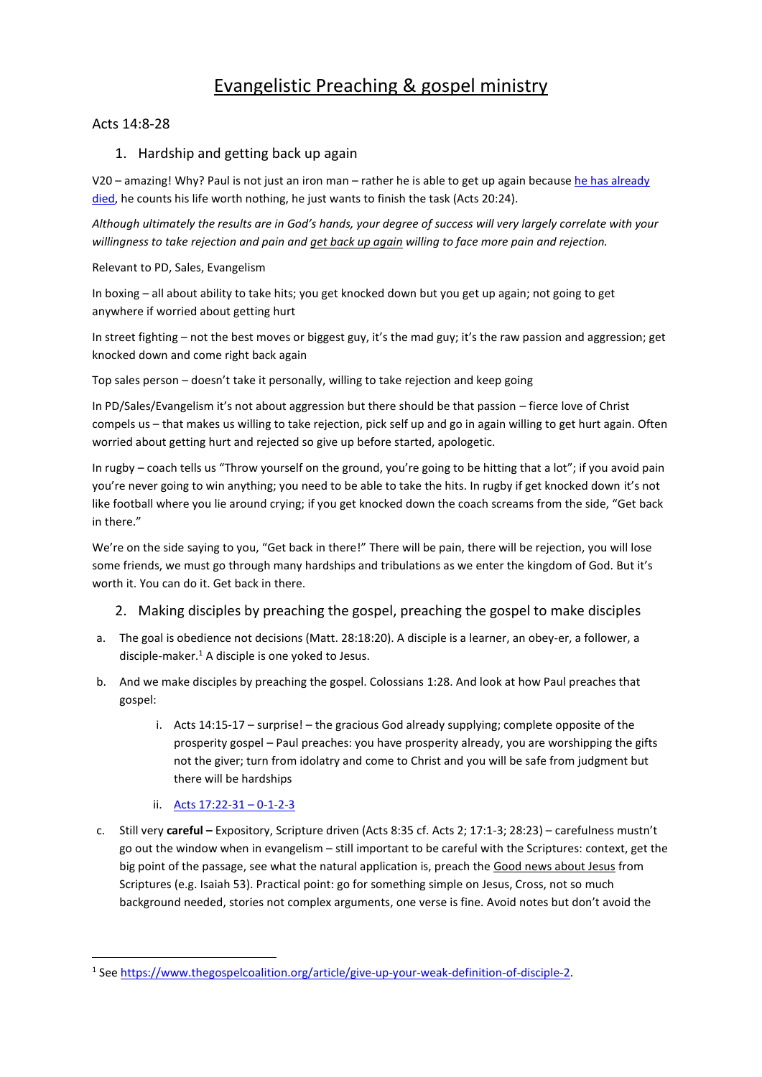# Evangelistic Preaching & gospel ministry

### Acts 14:8-28

### 1. Hardship and getting back up again

V20 – amazing! Why? Paul is not just an iron man – rather he is able to get up again because he has already [died,](https://www.amazon.com/Died-Before-Came-Here-Sacrifice-ebook/dp/B01CYRNNZU) he counts his life worth nothing, he just wants to finish the task (Acts 20:24).

*Although ultimately the results are in God's hands, your degree of success will very largely correlate with your willingness to take rejection and pain and get back up again willing to face more pain and rejection.*

Relevant to PD, Sales, Evangelism

In boxing – all about ability to take hits; you get knocked down but you get up again; not going to get anywhere if worried about getting hurt

In street fighting – not the best moves or biggest guy, it's the mad guy; it's the raw passion and aggression; get knocked down and come right back again

Top sales person – doesn't take it personally, willing to take rejection and keep going

In PD/Sales/Evangelism it's not about aggression but there should be that passion – fierce love of Christ compels us – that makes us willing to take rejection, pick self up and go in again willing to get hurt again. Often worried about getting hurt and rejected so give up before started, apologetic.

In rugby – coach tells us "Throw yourself on the ground, you're going to be hitting that a lot"; if you avoid pain you're never going to win anything; you need to be able to take the hits. In rugby if get knocked down it's not like football where you lie around crying; if you get knocked down the coach screams from the side, "Get back in there."

We're on the side saying to you, "Get back in there!" There will be pain, there will be rejection, you will lose some friends, we must go through many hardships and tribulations as we enter the kingdom of God. But it's worth it. You can do it. Get back in there.

# 2. Making disciples by preaching the gospel, preaching the gospel to make disciples

- a. The goal is obedience not decisions (Matt. 28:18:20). A disciple is a learner, an obey-er, a follower, a disciple-maker. $<sup>1</sup>$  A disciple is one yoked to Jesus.</sup>
- b. And we make disciples by preaching the gospel. Colossians 1:28. And look at how Paul preaches that gospel:
	- i. Acts 14:15-17 surprise! the gracious God already supplying; complete opposite of the prosperity gospel – Paul preaches: you have prosperity already, you are worshipping the gifts not the giver; turn from idolatry and come to Christ and you will be safe from judgment but there will be hardships
	- ii. [Acts 17:22-31](https://iserveafrica.files.wordpress.com/2016/09/mission-to-the-contemporary-world-lessons-from-acts-17.pdf)  0-1-2-3

<u>.</u>

c. Still very **careful –** Expository, Scripture driven (Acts 8:35 cf. Acts 2; 17:1-3; 28:23) – carefulness mustn't go out the window when in evangelism – still important to be careful with the Scriptures: context, get the big point of the passage, see what the natural application is, preach the Good news about Jesus from Scriptures (e.g. Isaiah 53). Practical point: go for something simple on Jesus, Cross, not so much background needed, stories not complex arguments, one verse is fine. Avoid notes but don't avoid the

<sup>&</sup>lt;sup>1</sup> See [https://www.thegospelcoalition.org/article/give-up-your-weak-definition-of-disciple-2.](https://www.thegospelcoalition.org/article/give-up-your-weak-definition-of-disciple-2)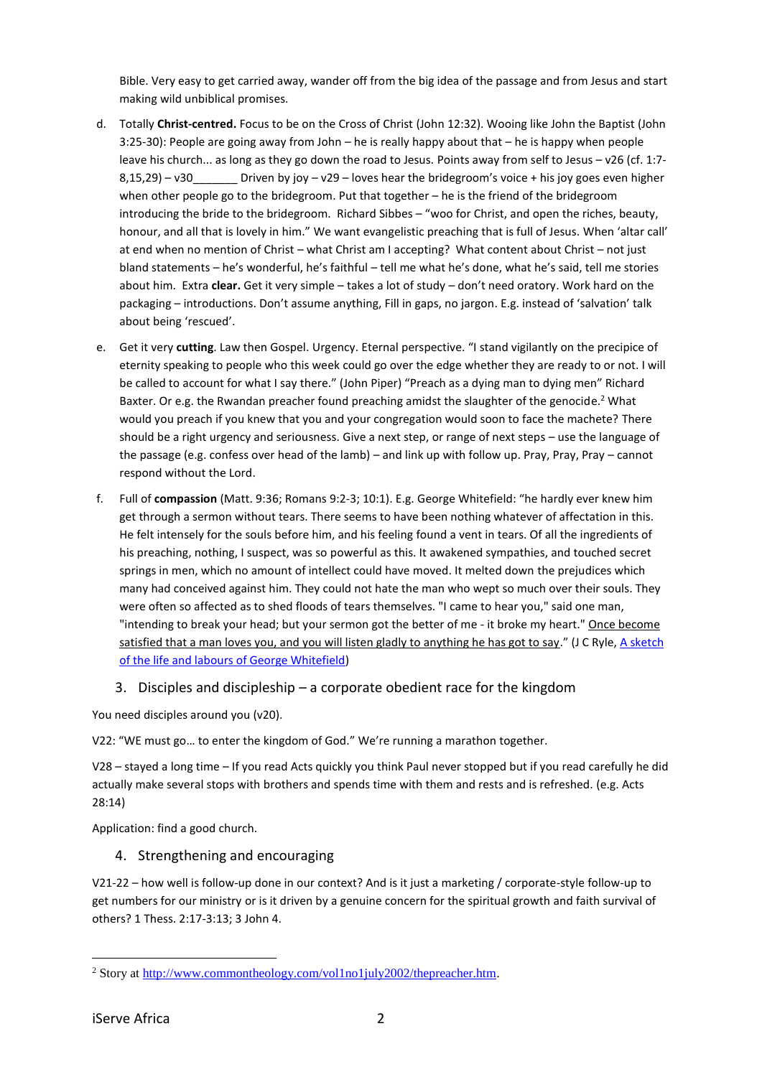Bible. Very easy to get carried away, wander off from the big idea of the passage and from Jesus and start making wild unbiblical promises.

- d. Totally **Christ-centred.** Focus to be on the Cross of Christ (John 12:32). Wooing like John the Baptist (John 3:25-30): People are going away from John – he is really happy about that – he is happy when people leave his church... as long as they go down the road to Jesus. Points away from self to Jesus – v26 (cf. 1:7- $8,15,29$ ) – v30 Driven by joy – v29 – loves hear the bridegroom's voice + his joy goes even higher when other people go to the bridegroom. Put that together – he is the friend of the bridegroom introducing the bride to the bridegroom. Richard Sibbes – "woo for Christ, and open the riches, beauty, honour, and all that is lovely in him." We want evangelistic preaching that is full of Jesus. When 'altar call' at end when no mention of Christ – what Christ am I accepting? What content about Christ – not just bland statements – he's wonderful, he's faithful – tell me what he's done, what he's said, tell me stories about him. Extra **clear.** Get it very simple – takes a lot of study – don't need oratory. Work hard on the packaging – introductions. Don't assume anything, Fill in gaps, no jargon. E.g. instead of 'salvation' talk about being 'rescued'.
- e. Get it very **cutting**. Law then Gospel. Urgency. Eternal perspective. "I stand vigilantly on the precipice of eternity speaking to people who this week could go over the edge whether they are ready to or not. I will be called to account for what I say there." (John Piper) "Preach as a dying man to dying men" Richard Baxter. Or e.g. the Rwandan preacher found preaching amidst the slaughter of the genocide.<sup>2</sup> What would you preach if you knew that you and your congregation would soon to face the machete? There should be a right urgency and seriousness. Give a next step, or range of next steps – use the language of the passage (e.g. confess over head of the lamb) – and link up with follow up. Pray, Pray, Pray – cannot respond without the Lord.
- f. Full of **compassion** (Matt. 9:36; Romans 9:2-3; 10:1). E.g. George Whitefield: "he hardly ever knew him get through a sermon without tears. There seems to have been nothing whatever of affectation in this. He felt intensely for the souls before him, and his feeling found a vent in tears. Of all the ingredients of his preaching, nothing, I suspect, was so powerful as this. It awakened sympathies, and touched secret springs in men, which no amount of intellect could have moved. It melted down the prejudices which many had conceived against him. They could not hate the man who wept so much over their souls. They were often so affected as to shed floods of tears themselves. "I came to hear you," said one man, "intending to break your head; but your sermon got the better of me - it broke my heart." Once become satisfied that a man loves you, and you will listen gladly to anything he has got to say." (J C Ryle, A sketch [of the life and labours of George Whitefield\)](https://www.monergism.com/thethreshold/sdg/ryle/ryle_georgewhitefield.html)
	- 3. Disciples and discipleship a corporate obedient race for the kingdom

You need disciples around you (v20).

V22: "WE must go… to enter the kingdom of God." We're running a marathon together.

V28 – stayed a long time – If you read Acts quickly you think Paul never stopped but if you read carefully he did actually make several stops with brothers and spends time with them and rests and is refreshed. (e.g. Acts 28:14)

Application: find a good church.

# 4. Strengthening and encouraging

V21-22 – how well is follow-up done in our context? And is it just a marketing / corporate-style follow-up to get numbers for our ministry or is it driven by a genuine concern for the spiritual growth and faith survival of others? 1 Thess. 2:17-3:13; 3 John 4.

<sup>1</sup> <sup>2</sup> Story at [http://www.commontheology.com/vol1no1july2002/thepreacher.htm.](http://www.commontheology.com/vol1no1july2002/thepreacher.htm)